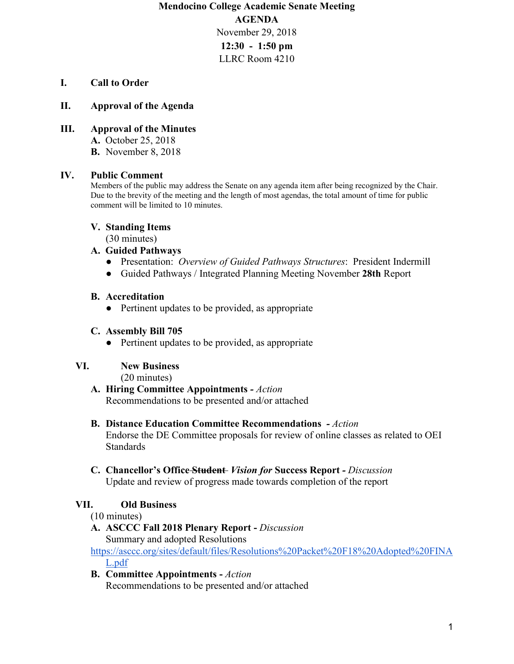**Mendocino College Academic Senate Meeting AGENDA** November 29, 2018 **12:30 - 1:50 pm** LLRC Room 4210

### **I. Call to Order**

#### **II. Approval of the Agenda**

#### **III. Approval of the Minutes**

**A.** October 25, 2018

**B.** November 8, 2018

### **IV. Public Comment**

Members of the public may address the Senate on any agenda item after being recognized by the Chair. Due to the brevity of the meeting and the length of most agendas, the total amount of time for public comment will be limited to 10 minutes.

#### **V. Standing Items**

(30 minutes)

#### **A. Guided Pathways**

- Presentation: *Overview of Guided Pathways Structures*: President Indermill
- Guided Pathways / Integrated Planning Meeting November **28th** Report

#### **B. Accreditation**

• Pertinent updates to be provided, as appropriate

#### **C. Assembly Bill 705**

• Pertinent updates to be provided, as appropriate

#### **VI. New Business**

(20 minutes)

**A. Hiring Committee Appointments** *- Action*  Recommendations to be presented and/or attached

# **B. Distance Education Committee Recommendations** *- Action*

Endorse the DE Committee proposals for review of online classes as related to OEI Standards

**C. Chancellor's Office Student** *Vision for* **Success Report** *- Discussion* Update and review of progress made towards completion of the report

#### **VII. Old Business**

#### (10 minutes)

**A. ASCCC Fall 2018 Plenary Report -** *Discussion* Summary and adopted Resolutions

[https://asccc.org/sites/default/files/Resolutions%20Packet%20F18%20Adopted%20FINA](https://asccc.org/sites/default/files/Resolutions%20Packet%20F18%20Adopted%20FINAL.pdf) [L.pdf](https://asccc.org/sites/default/files/Resolutions%20Packet%20F18%20Adopted%20FINAL.pdf)

**B. Committee Appointments -** *Action* Recommendations to be presented and/or attached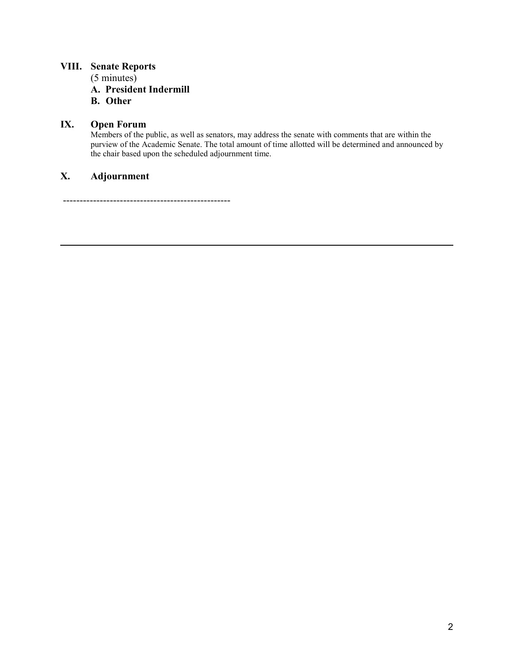## **VIII. Senate Reports**

(5 minutes)

**A. President Indermill**

**B. Other**

## **IX. Open Forum**

Members of the public, as well as senators, may address the senate with comments that are within the purview of the Academic Senate. The total amount of time allotted will be determined and announced by the chair based upon the scheduled adjournment time.

## **X. Adjournment**

--------------------------------------------------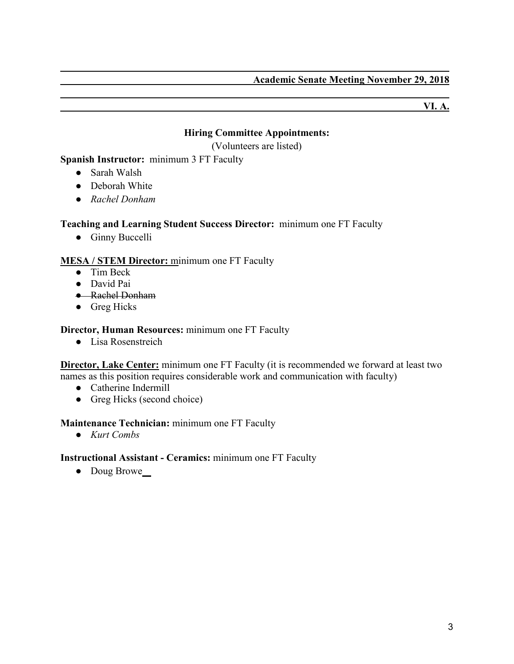**VI. A.**

## **Hiring Committee Appointments:**

(Volunteers are listed)

**Spanish Instructor:** minimum 3 FT Faculty

- Sarah Walsh
- Deborah White
- *Rachel Donham*

### **Teaching and Learning Student Success Director:** minimum one FT Faculty

● Ginny Buccelli

### **MESA / STEM Director:** minimum one FT Faculty

- Tim Beck
- David Pai
- Rachel Donham
- Greg Hicks

### **Director, Human Resources:** minimum one FT Faculty

● Lisa Rosenstreich

**Director, Lake Center:** minimum one FT Faculty (it is recommended we forward at least two names as this position requires considerable work and communication with faculty)

- Catherine Indermill
- Greg Hicks (second choice)

#### **Maintenance Technician:** minimum one FT Faculty

● *Kurt Combs*

#### **Instructional Assistant - Ceramics:** minimum one FT Faculty

• Doug Browe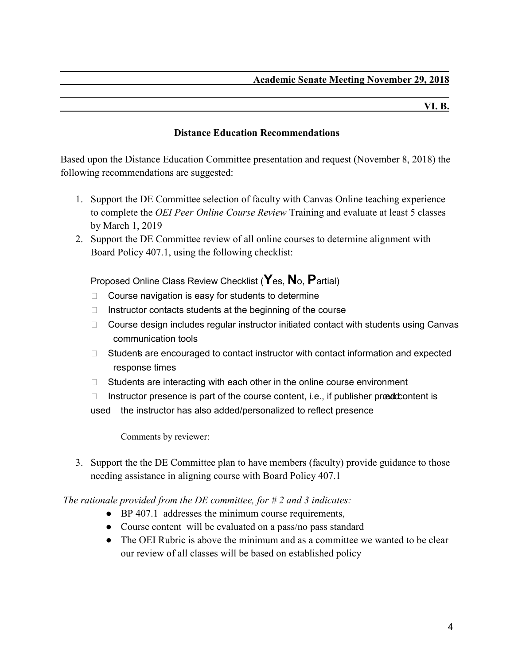#### **VI. B.**

### **Distance Education Recommendations**

Based upon the Distance Education Committee presentation and request (November 8, 2018) the following recommendations are suggested:

- 1. Support the DE Committee selection of faculty with Canvas Online teaching experience to complete the *OEI Peer Online Course Review* Training and evaluate at least 5 classes by March 1, 2019
- 2. Support the DE Committee review of all online courses to determine alignment with Board Policy 407.1, using the following checklist:

Proposed Online Class Review Checklist (**Y**es, **N**o, **P**artial)

- □ Course navigation is easy for students to determine
- $\Box$  Instructor contacts students at the beginning of the course
- $\Box$  Course design includes regular instructor initiated contact with students using Canvas communication tools
- □ Students are encouraged to contact instructor with contact information and expected response times
- □ Students are interacting with each other in the online course environment
- $\Box$  Instructor presence is part of the course content, i.e., if publisher propolationtent is

used the instructor has also added/personalized to reflect presence

Comments by reviewer:

3. Support the the DE Committee plan to have members (faculty) provide guidance to those needing assistance in aligning course with Board Policy 407.1

*The rationale provided from the DE committee, for # 2 and 3 indicates:*

- BP 407.1 addresses the minimum course requirements,
- Course content will be evaluated on a pass/no pass standard
- The OEI Rubric is above the minimum and as a committee we wanted to be clear our review of all classes will be based on established policy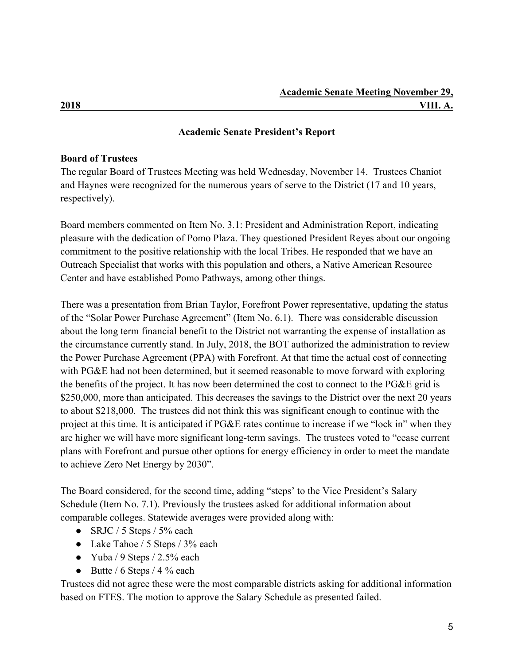## **Academic Senate President's Report**

### **Board of Trustees**

The regular Board of Trustees Meeting was held Wednesday, November 14. Trustees Chaniot and Haynes were recognized for the numerous years of serve to the District (17 and 10 years, respectively).

Board members commented on Item No. 3.1: President and Administration Report, indicating pleasure with the dedication of Pomo Plaza. They questioned President Reyes about our ongoing commitment to the positive relationship with the local Tribes. He responded that we have an Outreach Specialist that works with this population and others, a Native American Resource Center and have established Pomo Pathways, among other things.

There was a presentation from Brian Taylor, Forefront Power representative, updating the status of the "Solar Power Purchase Agreement" (Item No. 6.1). There was considerable discussion about the long term financial benefit to the District not warranting the expense of installation as the circumstance currently stand. In July, 2018, the BOT authorized the administration to review the Power Purchase Agreement (PPA) with Forefront. At that time the actual cost of connecting with PG&E had not been determined, but it seemed reasonable to move forward with exploring the benefits of the project. It has now been determined the cost to connect to the PG&E grid is \$250,000, more than anticipated. This decreases the savings to the District over the next 20 years to about \$218,000. The trustees did not think this was significant enough to continue with the project at this time. It is anticipated if PG&E rates continue to increase if we "lock in" when they are higher we will have more significant long-term savings. The trustees voted to "cease current plans with Forefront and pursue other options for energy efficiency in order to meet the mandate to achieve Zero Net Energy by 2030".

The Board considered, for the second time, adding "steps' to the Vice President's Salary Schedule (Item No. 7.1). Previously the trustees asked for additional information about comparable colleges. Statewide averages were provided along with:

- $\bullet$  SRJC / 5 Steps / 5% each
- Lake Tahoe / 5 Steps / 3% each
- Yuba / 9 Steps  $/ 2.5\%$  each
- Butte /  $6$  Steps /  $4\%$  each

Trustees did not agree these were the most comparable districts asking for additional information based on FTES. The motion to approve the Salary Schedule as presented failed.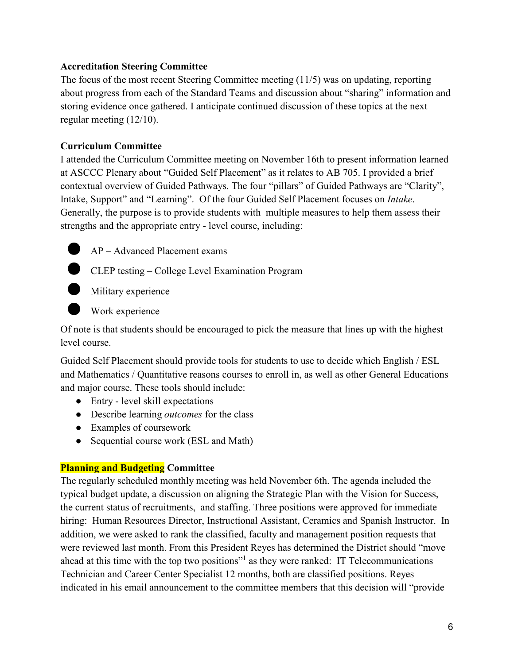## **Accreditation Steering Committee**

The focus of the most recent Steering Committee meeting (11/5) was on updating, reporting about progress from each of the Standard Teams and discussion about "sharing" information and storing evidence once gathered. I anticipate continued discussion of these topics at the next regular meeting (12/10).

## **Curriculum Committee**

I attended the Curriculum Committee meeting on November 16th to present information learned at ASCCC Plenary about "Guided Self Placement" as it relates to AB 705. I provided a brief contextual overview of Guided Pathways. The four "pillars" of Guided Pathways are "Clarity", Intake, Support" and "Learning". Of the four Guided Self Placement focuses on *Intake*. Generally, the purpose is to provide students with multiple measures to help them assess their strengths and the appropriate entry - level course, including:

 $AP - Advanced Placement exams$ 

**CLEP** testing – College Level Examination Program



**Military experience** 

Work experience

Of note is that students should be encouraged to pick the measure that lines up with the highest level course.

Guided Self Placement should provide tools for students to use to decide which English / ESL and Mathematics / Quantitative reasons courses to enroll in, as well as other General Educations and major course. These tools should include:

- Entry level skill expectations
- Describe learning *outcomes* for the class
- Examples of coursework
- Sequential course work (ESL and Math)

## **Planning and Budgeting Committee**

The regularly scheduled monthly meeting was held November 6th. The agenda included the typical budget update, a discussion on aligning the Strategic Plan with the Vision for Success, the current status of recruitments, and staffing. Three positions were approved for immediate hiring: Human Resources Director, Instructional Assistant, Ceramics and Spanish Instructor. In addition, we were asked to rank the classified, faculty and management position requests that were reviewed last month. From this President Reyes has determined the District should "move ahead at this time with the top two positions"1 as they were ranked: IT Telecommunications Technician and Career Center Specialist 12 months, both are classified positions. Reyes indicated in his email announcement to the committee members that this decision will "provide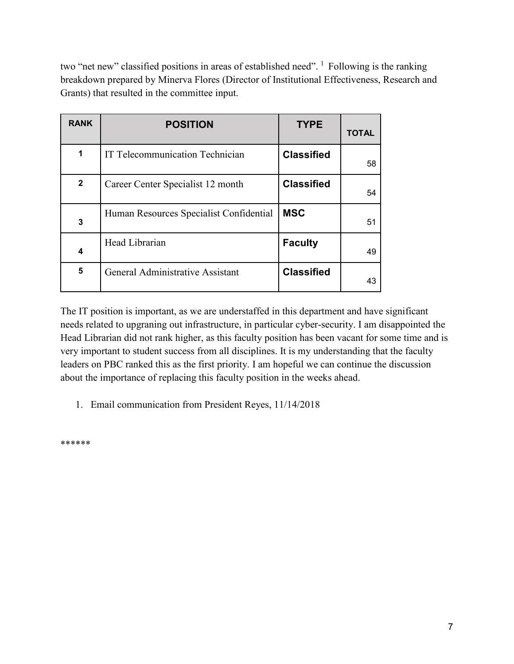two "net new" classified positions in areas of established need". <sup>1</sup> Following is the ranking breakdown prepared by Minerva Flores (Director of Institutional Effectiveness, Research and Grants) that resulted in the committee input.

| <b>RANK</b>  | <b>POSITION</b>                         | <b>TYPE</b>       | <b>TOTAL</b> |
|--------------|-----------------------------------------|-------------------|--------------|
| 1            | IT Telecommunication Technician         | <b>Classified</b> | 58           |
| $\mathbf{2}$ | Career Center Specialist 12 month       | <b>Classified</b> | 54           |
| 3            | Human Resources Specialist Confidential | <b>MSC</b>        | 51           |
| 4            | Head Librarian                          | <b>Faculty</b>    | 49           |
| 5            | General Administrative Assistant        | <b>Classified</b> | 43           |

The IT position is important, as we are understaffed in this department and have significant needs related to upgraning out infrastructure, in particular cyber-security. I am disappointed the Head Librarian did not rank higher, as this faculty position has been vacant for some time and is very important to student success from all disciplines. It is my understanding that the faculty leaders on PBC ranked this as the first priority. I am hopeful we can continue the discussion about the importance of replacing this faculty position in the weeks ahead.

1. Email communication from President Reyes, 11/14/2018

\*\*\*\*\*\*